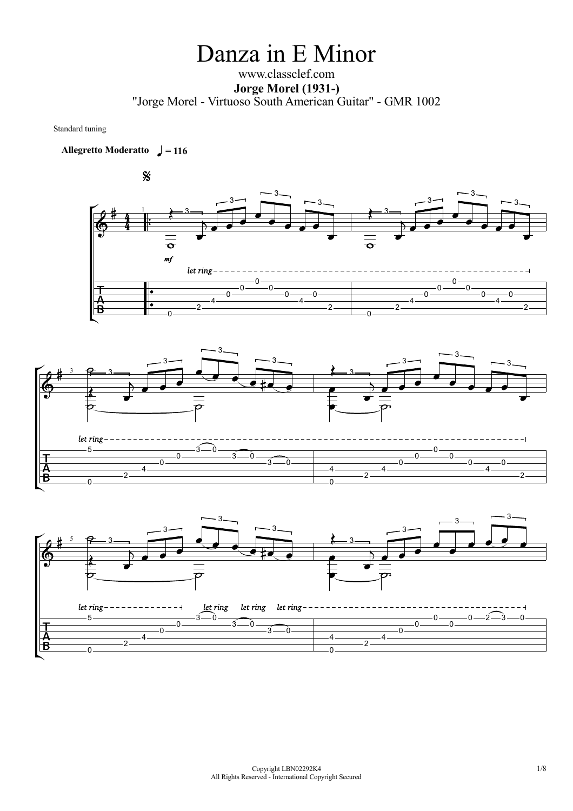## Danza in E Minor

www.classclef.com<br>Jorge Morel (1931-) **Jorge Morel (1931-)** "Jorge Morel - Virtuoso South American Guitar" - GMR <sup>1002</sup>

Standard tuning

**Allegretto Moderatto**  $\sqrt{ } = 116$ 





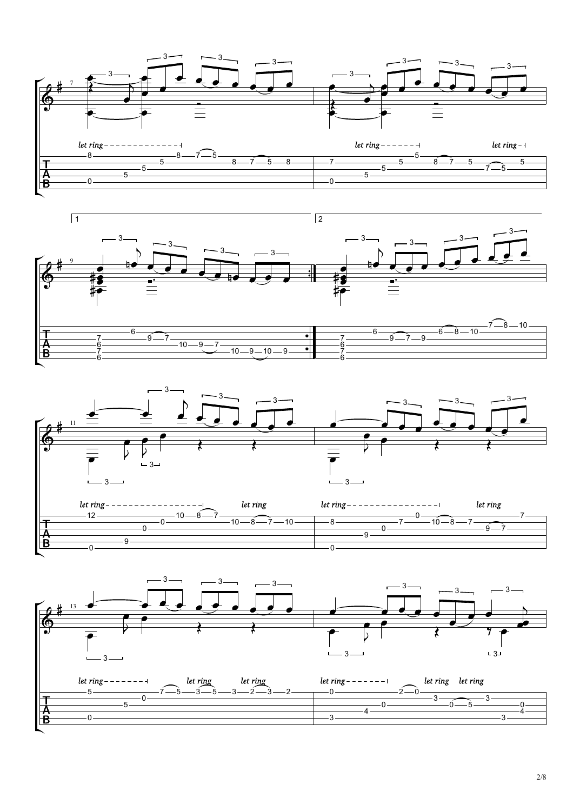



![](_page_1_Figure_2.jpeg)

![](_page_1_Figure_3.jpeg)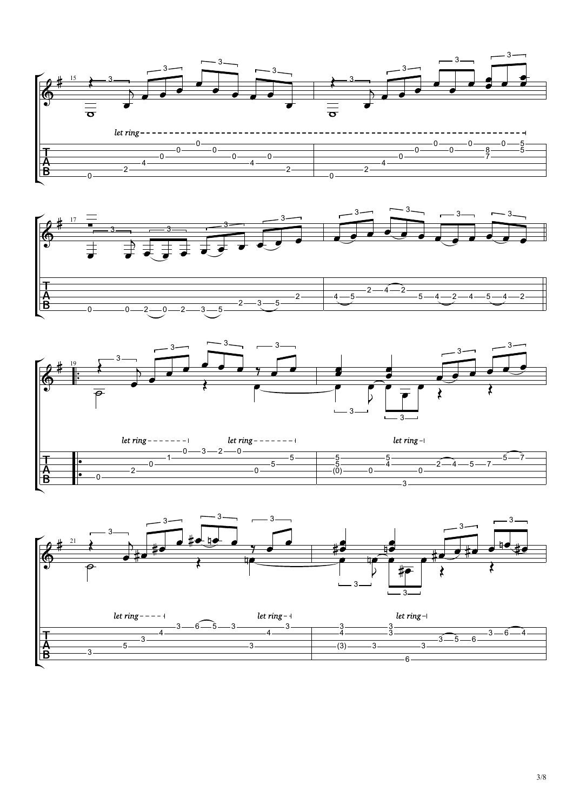![](_page_2_Figure_0.jpeg)

![](_page_2_Figure_1.jpeg)

![](_page_2_Figure_2.jpeg)

![](_page_2_Figure_3.jpeg)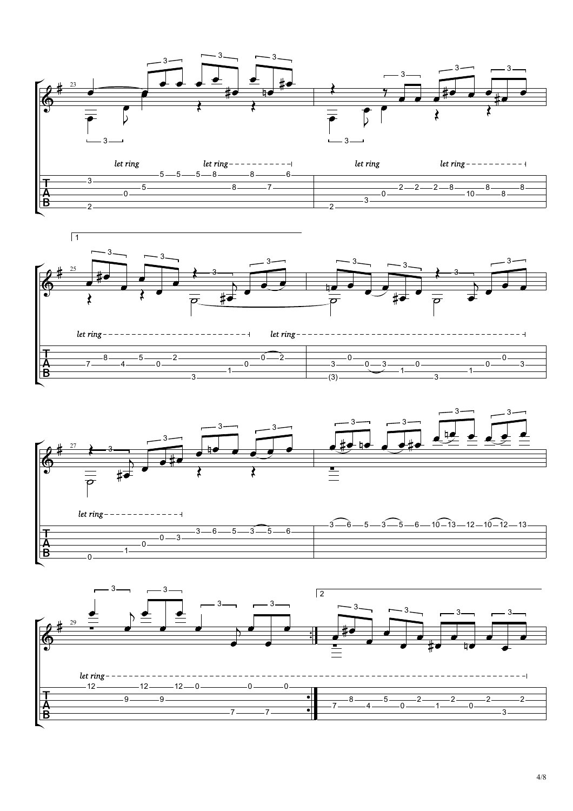![](_page_3_Figure_0.jpeg)

<sup>4/8</sup>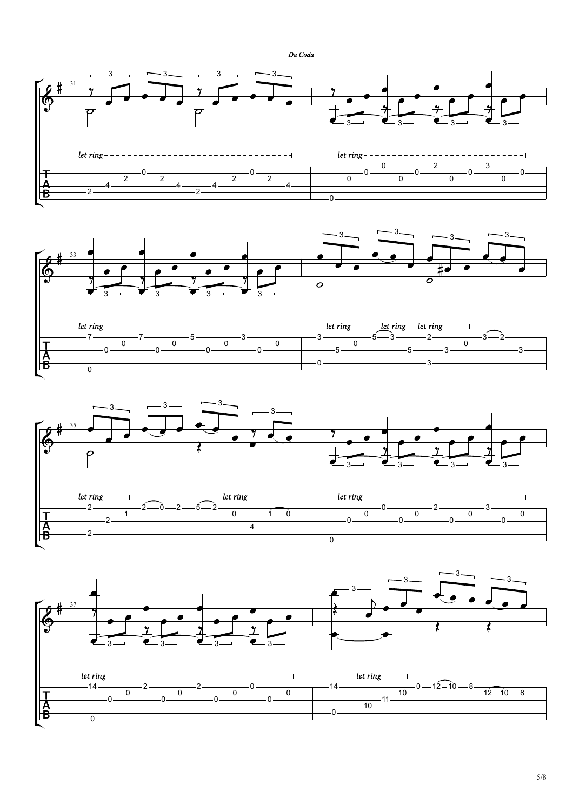Da Coda

![](_page_4_Figure_1.jpeg)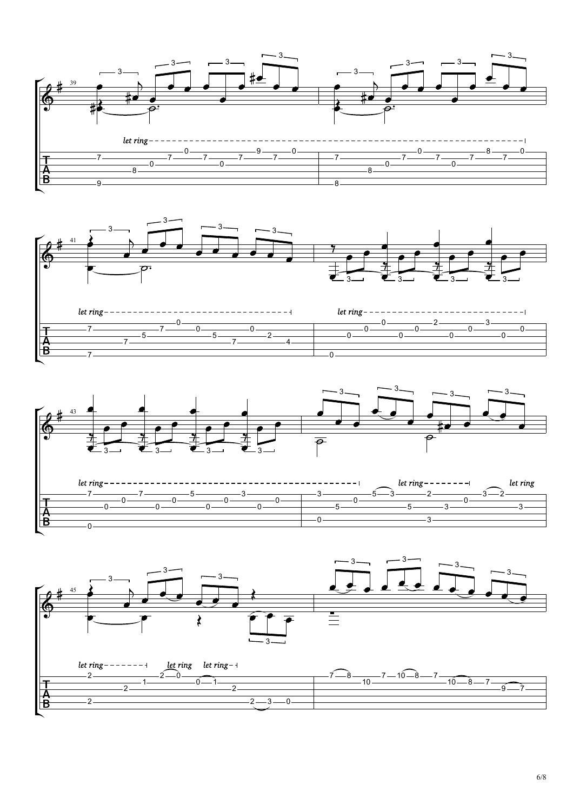![](_page_5_Figure_0.jpeg)

![](_page_5_Figure_1.jpeg)

![](_page_5_Figure_2.jpeg)

![](_page_5_Figure_3.jpeg)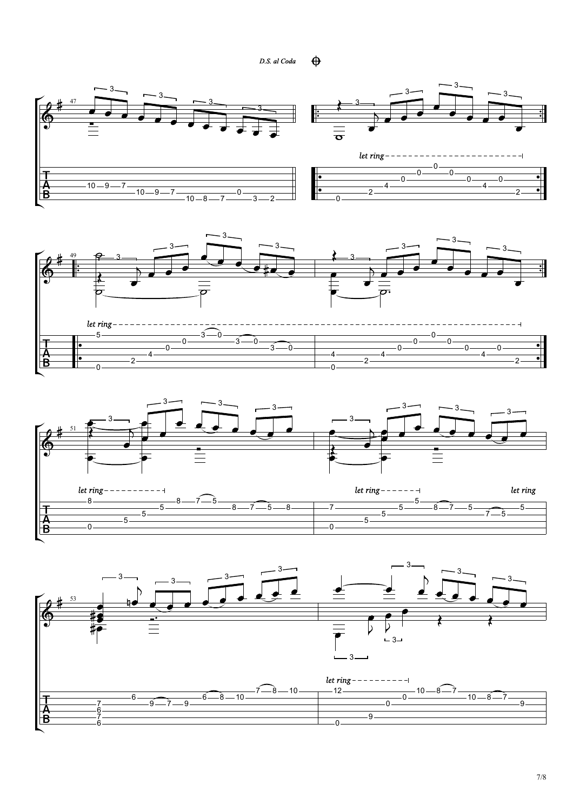D.S. al Coda  $\bigoplus$ 

![](_page_6_Figure_1.jpeg)

![](_page_6_Figure_2.jpeg)

![](_page_6_Figure_3.jpeg)

![](_page_6_Figure_4.jpeg)